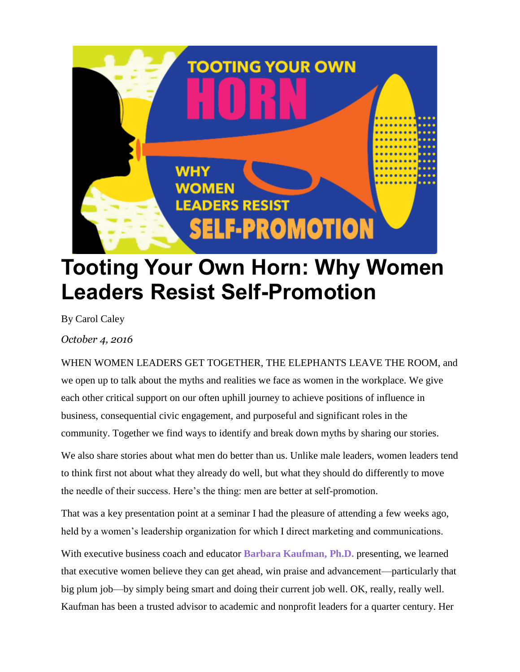

# **Tooting Your Own Horn: Why Women Leaders Resist Self-Promotion**

By Carol Caley

*October 4, 2016*

WHEN WOMEN LEADERS GET TOGETHER, THE ELEPHANTS LEAVE THE ROOM, and we open up to talk about the myths and realities we face as women in the workplace. We give each other critical support on our often uphill journey to achieve positions of influence in business, consequential civic engagement, and purposeful and significant roles in the community. Together we find ways to identify and break down myths by sharing our stories.

We also share stories about what men do better than us. Unlike male leaders, women leaders tend to think first not about what they already do well, but what they should do differently to move the needle of their success. Here's the thing: men are better at self-promotion.

That was a key presentation point at a seminar I had the pleasure of attending a few weeks ago, held by a women's leadership organization for which I direct marketing and communications.

With executive business coach and educator **Barbara [Kaufman,](http://www.roiconsultinggroup.com/) Ph.D.** presenting, we learned that executive women believe they can get ahead, win praise and advancement—particularly that big plum job—by simply being smart and doing their current job well. OK, really, really well. Kaufman has been a trusted advisor to academic and nonprofit leaders for a quarter century. Her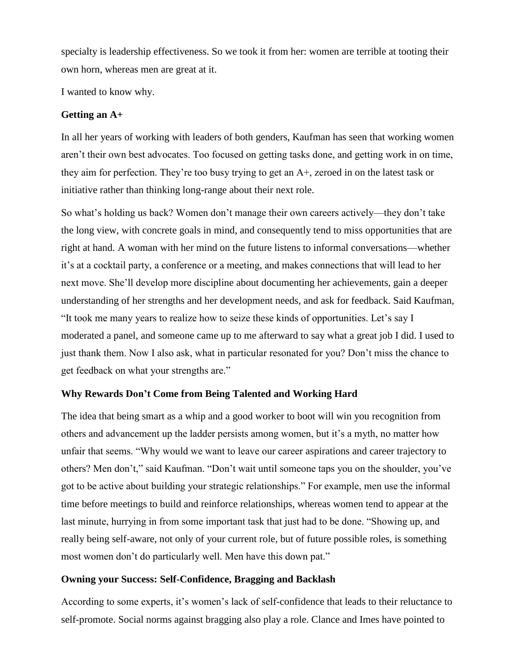specialty is leadership effectiveness. So we took it from her: women are terrible at tooting their own horn, whereas men are great at it.

I wanted to know why.

## **Getting an A+**

In all her years of working with leaders of both genders, Kaufman has seen that working women aren't their own best advocates. Too focused on getting tasks done, and getting work in on time, they aim for perfection. They're too busy trying to get an A+, zeroed in on the latest task or initiative rather than thinking long-range about their next role.

So what's holding us back? Women don't manage their own careers actively—they don't take the long view, with concrete goals in mind, and consequently tend to miss opportunities that are right at hand. A woman with her mind on the future listens to informal conversations—whether it's at a cocktail party, a conference or a meeting, and makes connections that will lead to her next move. She'll develop more discipline about documenting her achievements, gain a deeper understanding of her strengths and her development needs, and ask for feedback. Said Kaufman, "It took me many years to realize how to seize these kinds of opportunities. Let's say I moderated a panel, and someone came up to me afterward to say what a great job I did. I used to just thank them. Now I also ask, what in particular resonated for you? Don't miss the chance to get feedback on what your strengths are."

## **Why Rewards Don't Come from Being Talented and Working Hard**

The idea that being smart as a whip and a good worker to boot will win you recognition from others and advancement up the ladder persists among women, but it's a myth, no matter how unfair that seems. "Why would we want to leave our career aspirations and career trajectory to others? Men don't," said Kaufman. "Don't wait until someone taps you on the shoulder, you've got to be active about building your strategic relationships." For example, men use the informal time before meetings to build and reinforce relationships, whereas women tend to appear at the last minute, hurrying in from some important task that just had to be done. "Showing up, and really being self-aware, not only of your current role, but of future possible roles, is something most women don't do particularly well. Men have this down pat."

## **Owning your Success: Self-Confidence, Bragging and Backlash**

According to some experts, it's women's lack of self-confidence that leads to their reluctance to self-promote. Social norms against bragging also play a role. Clance and Imes have pointed to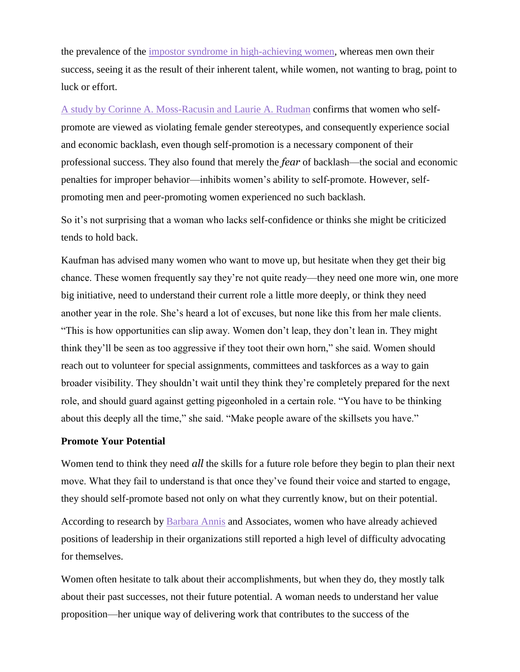the prevalence of the impostor syndrome in [high-achieving](http://www.paulineroseclance.com/pdf/ip_high_achieving_women.pdf) women, whereas men own their success, seeing it as the result of their inherent talent, while women, not wanting to brag, point to luck or effort.

A study by Corinne A. [Moss-Racusin](http://onlinelibrary.wiley.com/doi/10.1111/j.1471-6402.2010.01561.x/full) and Laurie A. Rudman confirms that women who selfpromote are viewed as violating female gender stereotypes, and consequently experience social and economic backlash, even though self-promotion is a necessary component of their professional success. They also found that merely the *fear* of backlash—the social and economic penalties for improper behavior—inhibits women's ability to self-promote. However, selfpromoting men and peer-promoting women experienced no such backlash.

So it's not surprising that a woman who lacks self-confidence or thinks she might be criticized tends to hold back.

Kaufman has advised many women who want to move up, but hesitate when they get their big chance. These women frequently say they're not quite ready—they need one more win, one more big initiative, need to understand their current role a little more deeply, or think they need another year in the role. She's heard a lot of excuses, but none like this from her male clients. "This is how opportunities can slip away. Women don't leap, they don't lean in. They might think they'll be seen as too aggressive if they toot their own horn," she said. Women should reach out to volunteer for special assignments, committees and taskforces as a way to gain broader visibility. They shouldn't wait until they think they're completely prepared for the next role, and should guard against getting pigeonholed in a certain role. "You have to be thinking about this deeply all the time," she said. "Make people aware of the skillsets you have."

#### **Promote Your Potential**

Women tend to think they need *all* the skills for a future role before they begin to plan their next move. What they fail to understand is that once they've found their voice and started to engage, they should self-promote based not only on what they currently know, but on their potential.

According to research by [Barbara](http://www.genderintelligence.com/barbara-annis-associates/barbara-annis/) Annis and Associates, women who have already achieved positions of leadership in their organizations still reported a high level of difficulty advocating for themselves.

Women often hesitate to talk about their accomplishments, but when they do, they mostly talk about their past successes, not their future potential. A woman needs to understand her value proposition—her unique way of delivering work that contributes to the success of the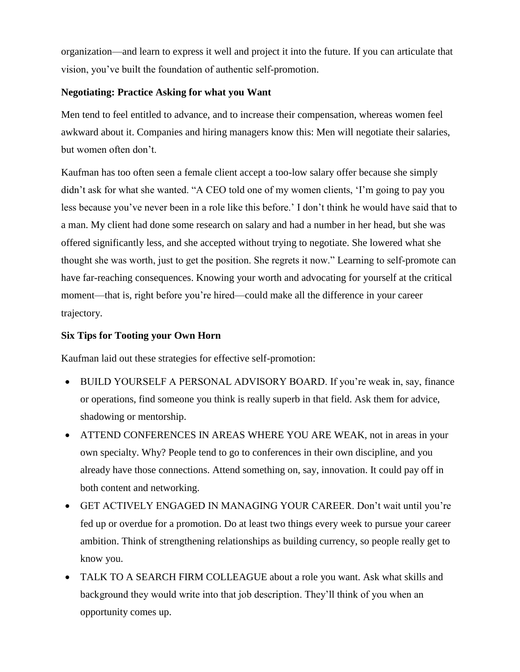organization—and learn to express it well and project it into the future. If you can articulate that vision, you've built the foundation of authentic self-promotion.

#### **Negotiating: Practice Asking for what you Want**

Men tend to feel entitled to advance, and to increase their compensation, whereas women feel awkward about it. Companies and hiring managers know this: Men will negotiate their salaries, but women often don't.

Kaufman has too often seen a female client accept a too-low salary offer because she simply didn't ask for what she wanted. "A CEO told one of my women clients, 'I'm going to pay you less because you've never been in a role like this before.' I don't think he would have said that to a man. My client had done some research on salary and had a number in her head, but she was offered significantly less, and she accepted without trying to negotiate. She lowered what she thought she was worth, just to get the position. She regrets it now." Learning to self-promote can have far-reaching consequences. Knowing your worth and advocating for yourself at the critical moment—that is, right before you're hired—could make all the difference in your career trajectory.

# **Six Tips for Tooting your Own Horn**

Kaufman laid out these strategies for effective self-promotion:

- BUILD YOURSELF A PERSONAL ADVISORY BOARD. If you're weak in, say, finance or operations, find someone you think is really superb in that field. Ask them for advice, shadowing or mentorship.
- ATTEND CONFERENCES IN AREAS WHERE YOU ARE WEAK, not in areas in your own specialty. Why? People tend to go to conferences in their own discipline, and you already have those connections. Attend something on, say, innovation. It could pay off in both content and networking.
- GET ACTIVELY ENGAGED IN MANAGING YOUR CAREER. Don't wait until you're fed up or overdue for a promotion. Do at least two things every week to pursue your career ambition. Think of strengthening relationships as building currency, so people really get to know you.
- TALK TO A SEARCH FIRM COLLEAGUE about a role you want. Ask what skills and background they would write into that job description. They'll think of you when an opportunity comes up.